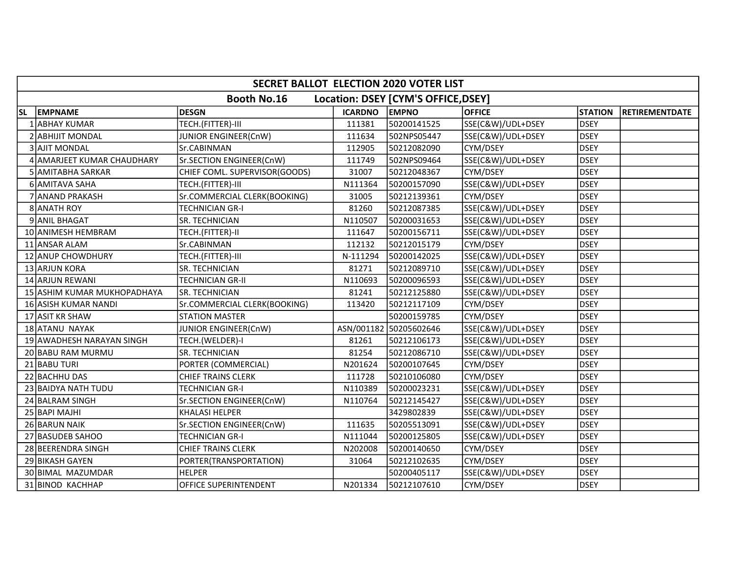| SECRET BALLOT ELECTION 2020 VOTER LIST |                                                           |                               |                |                        |                   |                |                |  |  |  |
|----------------------------------------|-----------------------------------------------------------|-------------------------------|----------------|------------------------|-------------------|----------------|----------------|--|--|--|
|                                        | <b>Booth No.16</b><br>Location: DSEY [CYM'S OFFICE, DSEY] |                               |                |                        |                   |                |                |  |  |  |
| <b>SL</b>                              | <b>EMPNAME</b>                                            | <b>DESGN</b>                  | <b>ICARDNO</b> | <b>EMPNO</b>           | <b>OFFICE</b>     | <b>STATION</b> | RETIREMENTDATE |  |  |  |
|                                        | 1 ABHAY KUMAR                                             | TECH.(FITTER)-III             | 111381         | 50200141525            | SSE(C&W)/UDL+DSEY | <b>DSEY</b>    |                |  |  |  |
|                                        | 2 ABHIJIT MONDAL                                          | JUNIOR ENGINEER(CnW)          | 111634         | 502NPS05447            | SSE(C&W)/UDL+DSEY | <b>DSEY</b>    |                |  |  |  |
|                                        | 3 AJIT MONDAL                                             | Sr.CABINMAN                   | 112905         | 50212082090            | CYM/DSEY          | <b>DSEY</b>    |                |  |  |  |
|                                        | 4 AMARJEET KUMAR CHAUDHARY                                | Sr.SECTION ENGINEER(CnW)      | 111749         | 502NPS09464            | SSE(C&W)/UDL+DSEY | <b>DSEY</b>    |                |  |  |  |
|                                        | 5 AMITABHA SARKAR                                         | CHIEF COML. SUPERVISOR(GOODS) | 31007          | 50212048367            | CYM/DSEY          | <b>DSEY</b>    |                |  |  |  |
|                                        | 6 AMITAVA SAHA                                            | TECH.(FITTER)-III             | N111364        | 50200157090            | SSE(C&W)/UDL+DSEY | <b>DSEY</b>    |                |  |  |  |
|                                        | 7 ANAND PRAKASH                                           | Sr.COMMERCIAL CLERK(BOOKING)  | 31005          | 50212139361            | CYM/DSEY          | <b>DSEY</b>    |                |  |  |  |
|                                        | 8 ANATH ROY                                               | TECHNICIAN GR-I               | 81260          | 50212087385            | SSE(C&W)/UDL+DSEY | <b>DSEY</b>    |                |  |  |  |
|                                        | 9 ANIL BHAGAT                                             | SR. TECHNICIAN                | N110507        | 50200031653            | SSE(C&W)/UDL+DSEY | <b>DSEY</b>    |                |  |  |  |
|                                        | 10 ANIMESH HEMBRAM                                        | TECH.(FITTER)-II              | 111647         | 50200156711            | SSE(C&W)/UDL+DSEY | <b>DSEY</b>    |                |  |  |  |
|                                        | 11 ANSAR ALAM                                             | Sr.CABINMAN                   | 112132         | 50212015179            | CYM/DSEY          | <b>DSEY</b>    |                |  |  |  |
|                                        | 12 ANUP CHOWDHURY                                         | TECH.(FITTER)-III             | N-111294       | 50200142025            | SSE(C&W)/UDL+DSEY | <b>DSEY</b>    |                |  |  |  |
|                                        | 13 ARJUN KORA                                             | SR. TECHNICIAN                | 81271          | 50212089710            | SSE(C&W)/UDL+DSEY | <b>DSEY</b>    |                |  |  |  |
|                                        | 14 ARJUN REWANI                                           | TECHNICIAN GR-II              | N110693        | 50200096593            | SSE(C&W)/UDL+DSEY | <b>DSEY</b>    |                |  |  |  |
|                                        | 15 ASHIM KUMAR MUKHOPADHAYA                               | SR. TECHNICIAN                | 81241          | 50212125880            | SSE(C&W)/UDL+DSEY | <b>DSEY</b>    |                |  |  |  |
|                                        | 16 ASISH KUMAR NANDI                                      | Sr.COMMERCIAL CLERK(BOOKING)  | 113420         | 50212117109            | CYM/DSEY          | <b>DSEY</b>    |                |  |  |  |
|                                        | 17 ASIT KR SHAW                                           | <b>STATION MASTER</b>         |                | 50200159785            | CYM/DSEY          | <b>DSEY</b>    |                |  |  |  |
|                                        | 18 ATANU NAYAK                                            | JUNIOR ENGINEER(CnW)          |                | ASN/001182 50205602646 | SSE(C&W)/UDL+DSEY | <b>DSEY</b>    |                |  |  |  |
|                                        | 19 AWADHESH NARAYAN SINGH                                 | TECH.(WELDER)-I               | 81261          | 50212106173            | SSE(C&W)/UDL+DSEY | <b>DSEY</b>    |                |  |  |  |
|                                        | 20 BABU RAM MURMU                                         | SR. TECHNICIAN                | 81254          | 50212086710            | SSE(C&W)/UDL+DSEY | <b>DSEY</b>    |                |  |  |  |
|                                        | 21 BABU TURI                                              | PORTER (COMMERCIAL)           | N201624        | 50200107645            | CYM/DSEY          | <b>DSEY</b>    |                |  |  |  |
|                                        | 22 BACHHU DAS                                             | <b>CHIEF TRAINS CLERK</b>     | 111728         | 50210106080            | CYM/DSEY          | <b>DSEY</b>    |                |  |  |  |
|                                        | 23 BAIDYA NATH TUDU                                       | <b>TECHNICIAN GR-I</b>        | N110389        | 50200023231            | SSE(C&W)/UDL+DSEY | <b>DSEY</b>    |                |  |  |  |
|                                        | 24 BALRAM SINGH                                           | Sr.SECTION ENGINEER(CnW)      | N110764        | 50212145427            | SSE(C&W)/UDL+DSEY | <b>DSEY</b>    |                |  |  |  |
|                                        | 25 BAPI MAJHI                                             | <b>KHALASI HELPER</b>         |                | 3429802839             | SSE(C&W)/UDL+DSEY | <b>DSEY</b>    |                |  |  |  |
|                                        | 26 BARUN NAIK                                             | Sr.SECTION ENGINEER(CnW)      | 111635         | 50205513091            | SSE(C&W)/UDL+DSEY | <b>DSEY</b>    |                |  |  |  |
|                                        | 27 BASUDEB SAHOO                                          | TECHNICIAN GR-I               | N111044        | 50200125805            | SSE(C&W)/UDL+DSEY | <b>DSEY</b>    |                |  |  |  |
|                                        | 28 BEERENDRA SINGH                                        | <b>CHIEF TRAINS CLERK</b>     | N202008        | 50200140650            | CYM/DSEY          | <b>DSEY</b>    |                |  |  |  |
|                                        | 29 BIKASH GAYEN                                           | PORTER(TRANSPORTATION)        | 31064          | 50212102635            | CYM/DSEY          | <b>DSEY</b>    |                |  |  |  |
|                                        | 30 BIMAL MAZUMDAR                                         | <b>HELPER</b>                 |                | 50200405117            | SSE(C&W)/UDL+DSEY | <b>DSEY</b>    |                |  |  |  |
|                                        | 31 BINOD KACHHAP                                          | <b>OFFICE SUPERINTENDENT</b>  | N201334        | 50212107610            | CYM/DSEY          | <b>DSEY</b>    |                |  |  |  |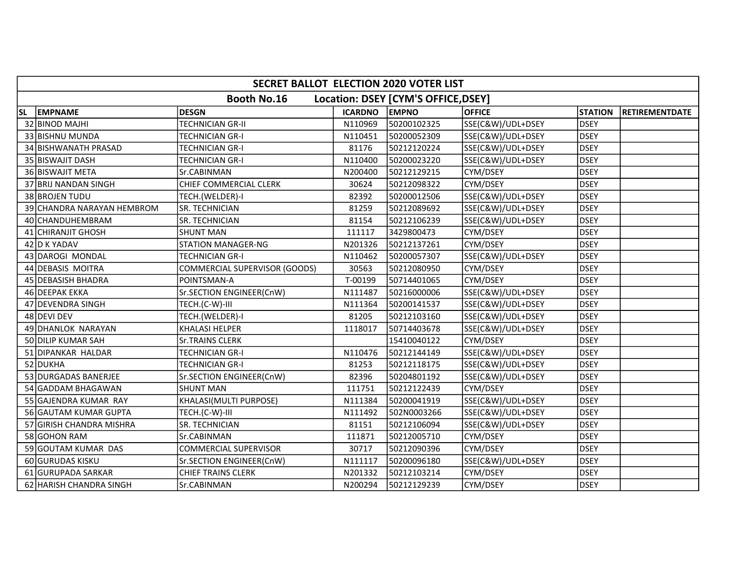|           | SECRET BALLOT ELECTION 2020 VOTER LIST |                               |                |                                     |                   |                |                       |  |  |
|-----------|----------------------------------------|-------------------------------|----------------|-------------------------------------|-------------------|----------------|-----------------------|--|--|
|           |                                        | Booth No.16                   |                | Location: DSEY [CYM'S OFFICE, DSEY] |                   |                |                       |  |  |
| <b>SL</b> | <b>EMPNAME</b>                         | <b>DESGN</b>                  | <b>ICARDNO</b> | <b>EMPNO</b>                        | <b>OFFICE</b>     | <b>STATION</b> | <b>RETIREMENTDATE</b> |  |  |
|           | 32 BINOD MAJHI                         | <b>TECHNICIAN GR-II</b>       | N110969        | 50200102325                         | SSE(C&W)/UDL+DSEY | <b>DSEY</b>    |                       |  |  |
|           | 33 BISHNU MUNDA                        | <b>TECHNICIAN GR-I</b>        | N110451        | 50200052309                         | SSE(C&W)/UDL+DSEY | <b>DSEY</b>    |                       |  |  |
|           | 34 BISHWANATH PRASAD                   | <b>TECHNICIAN GR-I</b>        | 81176          | 50212120224                         | SSE(C&W)/UDL+DSEY | <b>DSEY</b>    |                       |  |  |
|           | 35 BISWAJIT DASH                       | <b>TECHNICIAN GR-I</b>        | N110400        | 50200023220                         | SSE(C&W)/UDL+DSEY | <b>DSEY</b>    |                       |  |  |
|           | 36 BISWAJIT META                       | Sr.CABINMAN                   | N200400        | 50212129215                         | CYM/DSEY          | <b>DSEY</b>    |                       |  |  |
|           | 37 BRIJ NANDAN SINGH                   | CHIEF COMMERCIAL CLERK        | 30624          | 50212098322                         | CYM/DSEY          | <b>DSEY</b>    |                       |  |  |
|           | 38 BROJEN TUDU                         | TECH.(WELDER)-I               | 82392          | 50200012506                         | SSE(C&W)/UDL+DSEY | <b>DSEY</b>    |                       |  |  |
|           | 39 CHANDRA NARAYAN HEMBROM             | SR. TECHNICIAN                | 81259          | 50212089692                         | SSE(C&W)/UDL+DSEY | <b>DSEY</b>    |                       |  |  |
|           | 40 CHANDUHEMBRAM                       | SR. TECHNICIAN                | 81154          | 50212106239                         | SSE(C&W)/UDL+DSEY | <b>DSEY</b>    |                       |  |  |
|           | 41 CHIRANJIT GHOSH                     | <b>SHUNT MAN</b>              | 111117         | 3429800473                          | CYM/DSEY          | <b>DSEY</b>    |                       |  |  |
|           | 42 D K YADAV                           | <b>STATION MANAGER-NG</b>     | N201326        | 50212137261                         | CYM/DSEY          | <b>DSEY</b>    |                       |  |  |
|           | 43 DAROGI MONDAL                       | <b>TECHNICIAN GR-I</b>        | N110462        | 50200057307                         | SSE(C&W)/UDL+DSEY | <b>DSEY</b>    |                       |  |  |
|           | 44 DEBASIS MOITRA                      | COMMERCIAL SUPERVISOR (GOODS) | 30563          | 50212080950                         | CYM/DSEY          | <b>DSEY</b>    |                       |  |  |
|           | 45 DEBASISH BHADRA                     | POINTSMAN-A                   | T-00199        | 50714401065                         | CYM/DSEY          | <b>DSEY</b>    |                       |  |  |
|           | 46 DEEPAK EKKA                         | Sr.SECTION ENGINEER(CnW)      | N111487        | 50216000006                         | SSE(C&W)/UDL+DSEY | <b>DSEY</b>    |                       |  |  |
|           | 47 DEVENDRA SINGH                      | TECH.(C-W)-III                | N111364        | 50200141537                         | SSE(C&W)/UDL+DSEY | <b>DSEY</b>    |                       |  |  |
|           | 48 DEVI DEV                            | TECH.(WELDER)-I               | 81205          | 50212103160                         | SSE(C&W)/UDL+DSEY | <b>DSEY</b>    |                       |  |  |
|           | 49 DHANLOK NARAYAN                     | KHALASI HELPER                | 1118017        | 50714403678                         | SSE(C&W)/UDL+DSEY | <b>DSEY</b>    |                       |  |  |
|           | 50 DILIP KUMAR SAH                     | <b>Sr.TRAINS CLERK</b>        |                | 15410040122                         | CYM/DSEY          | <b>DSEY</b>    |                       |  |  |
|           | 51 DIPANKAR HALDAR                     | <b>TECHNICIAN GR-I</b>        | N110476        | 50212144149                         | SSE(C&W)/UDL+DSEY | <b>DSEY</b>    |                       |  |  |
|           | 52 DUKHA                               | <b>TECHNICIAN GR-I</b>        | 81253          | 50212118175                         | SSE(C&W)/UDL+DSEY | <b>DSEY</b>    |                       |  |  |
|           | 53 DURGADAS BANERJEE                   | Sr.SECTION ENGINEER(CnW)      | 82396          | 50204801192                         | SSE(C&W)/UDL+DSEY | <b>DSEY</b>    |                       |  |  |
|           | 54 GADDAM BHAGAWAN                     | <b>SHUNT MAN</b>              | 111751         | 50212122439                         | CYM/DSEY          | <b>DSEY</b>    |                       |  |  |
|           | 55 GAJENDRA KUMAR RAY                  | KHALASI(MULTI PURPOSE)        | N111384        | 50200041919                         | SSE(C&W)/UDL+DSEY | <b>DSEY</b>    |                       |  |  |
|           | 56 GAUTAM KUMAR GUPTA                  | TECH.(C-W)-III                | N111492        | 502N0003266                         | SSE(C&W)/UDL+DSEY | <b>DSEY</b>    |                       |  |  |
|           | 57 GIRISH CHANDRA MISHRA               | SR. TECHNICIAN                | 81151          | 50212106094                         | SSE(C&W)/UDL+DSEY | <b>DSEY</b>    |                       |  |  |
|           | 58 GOHON RAM                           | Sr.CABINMAN                   | 111871         | 50212005710                         | CYM/DSEY          | <b>DSEY</b>    |                       |  |  |
|           | 59 GOUTAM KUMAR DAS                    | COMMERCIAL SUPERVISOR         | 30717          | 50212090396                         | CYM/DSEY          | <b>DSEY</b>    |                       |  |  |
|           | 60 GURUDAS KISKU                       | Sr.SECTION ENGINEER(CnW)      | N111117        | 50200096180                         | SSE(C&W)/UDL+DSEY | <b>DSEY</b>    |                       |  |  |
|           | 61 GURUPADA SARKAR                     | <b>CHIEF TRAINS CLERK</b>     | N201332        | 50212103214                         | CYM/DSEY          | <b>DSEY</b>    |                       |  |  |
|           | 62 HARISH CHANDRA SINGH                | Sr.CABINMAN                   | N200294        | 50212129239                         | CYM/DSEY          | <b>DSEY</b>    |                       |  |  |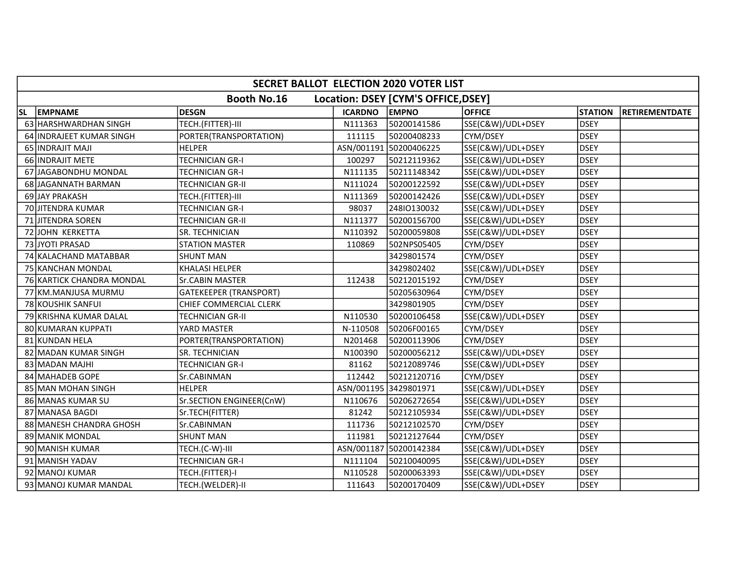| SECRET BALLOT ELECTION 2020 VOTER LIST |                           |                               |                       |                                     |                   |                |                       |  |
|----------------------------------------|---------------------------|-------------------------------|-----------------------|-------------------------------------|-------------------|----------------|-----------------------|--|
|                                        |                           | <b>Booth No.16</b>            |                       | Location: DSEY [CYM'S OFFICE, DSEY] |                   |                |                       |  |
| <b>SL</b>                              | <b>EMPNAME</b>            | <b>DESGN</b>                  | <b>ICARDNO</b>        | <b>EMPNO</b>                        | <b>OFFICE</b>     | <b>STATION</b> | <b>RETIREMENTDATE</b> |  |
|                                        | 63 HARSHWARDHAN SINGH     | TECH.(FITTER)-III             | N111363               | 50200141586                         | SSE(C&W)/UDL+DSEY | <b>DSEY</b>    |                       |  |
|                                        | 64 INDRAJEET KUMAR SINGH  | PORTER(TRANSPORTATION)        | 111115                | 50200408233                         | CYM/DSEY          | <b>DSEY</b>    |                       |  |
|                                        | 65 INDRAJIT MAJI          | <b>HELPER</b>                 |                       | ASN/001191 50200406225              | SSE(C&W)/UDL+DSEY | <b>DSEY</b>    |                       |  |
|                                        | 66 INDRAJIT METE          | <b>TECHNICIAN GR-I</b>        | 100297                | 50212119362                         | SSE(C&W)/UDL+DSEY | <b>DSEY</b>    |                       |  |
|                                        | 67 JAGABONDHU MONDAL      | TECHNICIAN GR-I               | N111135               | 50211148342                         | SSE(C&W)/UDL+DSEY | <b>DSEY</b>    |                       |  |
|                                        | 68 JAGANNATH BARMAN       | TECHNICIAN GR-II              | N111024               | 50200122592                         | SSE(C&W)/UDL+DSEY | <b>DSEY</b>    |                       |  |
|                                        | 69 JAY PRAKASH            | TECH.(FITTER)-III             | N111369               | 50200142426                         | SSE(C&W)/UDL+DSEY | <b>DSEY</b>    |                       |  |
|                                        | 70 JITENDRA KUMAR         | TECHNICIAN GR-I               | 98037                 | 24810130032                         | SSE(C&W)/UDL+DSEY | <b>DSEY</b>    |                       |  |
|                                        | 71 JITENDRA SOREN         | TECHNICIAN GR-II              | N111377               | 50200156700                         | SSE(C&W)/UDL+DSEY | <b>DSEY</b>    |                       |  |
|                                        | 72 JOHN KERKETTA          | SR. TECHNICIAN                | N110392               | 50200059808                         | SSE(C&W)/UDL+DSEY | <b>DSEY</b>    |                       |  |
|                                        | 73 JYOTI PRASAD           | <b>STATION MASTER</b>         | 110869                | 502NPS05405                         | CYM/DSEY          | <b>DSEY</b>    |                       |  |
|                                        | 74 KALACHAND MATABBAR     | <b>SHUNT MAN</b>              |                       | 3429801574                          | CYM/DSEY          | <b>DSEY</b>    |                       |  |
|                                        | 75 KANCHAN MONDAL         | <b>KHALASI HELPER</b>         |                       | 3429802402                          | SSE(C&W)/UDL+DSEY | <b>DSEY</b>    |                       |  |
|                                        | 76 KARTICK CHANDRA MONDAL | Sr.CABIN MASTER               | 112438                | 50212015192                         | CYM/DSEY          | <b>DSEY</b>    |                       |  |
|                                        | 77 KM.MANJUSA MURMU       | <b>GATEKEEPER (TRANSPORT)</b> |                       | 50205630964                         | CYM/DSEY          | <b>DSEY</b>    |                       |  |
|                                        | 78 KOUSHIK SANFUI         | CHIEF COMMERCIAL CLERK        |                       | 3429801905                          | CYM/DSEY          | <b>DSEY</b>    |                       |  |
|                                        | 79 KRISHNA KUMAR DALAL    | TECHNICIAN GR-II              | N110530               | 50200106458                         | SSE(C&W)/UDL+DSEY | <b>DSEY</b>    |                       |  |
|                                        | 80 KUMARAN KUPPATI        | YARD MASTER                   | N-110508              | 50206F00165                         | CYM/DSEY          | <b>DSEY</b>    |                       |  |
|                                        | 81 KUNDAN HELA            | PORTER(TRANSPORTATION)        | N201468               | 50200113906                         | CYM/DSEY          | <b>DSEY</b>    |                       |  |
|                                        | 82 MADAN KUMAR SINGH      | SR. TECHNICIAN                | N100390               | 50200056212                         | SSE(C&W)/UDL+DSEY | <b>DSEY</b>    |                       |  |
|                                        | 83 MADAN MAJHI            | TECHNICIAN GR-I               | 81162                 | 50212089746                         | SSE(C&W)/UDL+DSEY | <b>DSEY</b>    |                       |  |
|                                        | 84 MAHADEB GOPE           | Sr.CABINMAN                   | 112442                | 50212120716                         | CYM/DSEY          | <b>DSEY</b>    |                       |  |
|                                        | 85 MAN MOHAN SINGH        | <b>HELPER</b>                 | ASN/001195 3429801971 |                                     | SSE(C&W)/UDL+DSEY | <b>DSEY</b>    |                       |  |
|                                        | 86 MANAS KUMAR SU         | Sr.SECTION ENGINEER(CnW)      | N110676               | 50206272654                         | SSE(C&W)/UDL+DSEY | <b>DSEY</b>    |                       |  |
|                                        | 87 MANASA BAGDI           | Sr.TECH(FITTER)               | 81242                 | 50212105934                         | SSE(C&W)/UDL+DSEY | <b>DSEY</b>    |                       |  |
|                                        | 88 MANESH CHANDRA GHOSH   | Sr.CABINMAN                   | 111736                | 50212102570                         | CYM/DSEY          | <b>DSEY</b>    |                       |  |
|                                        | 89 MANIK MONDAL           | <b>SHUNT MAN</b>              | 111981                | 50212127644                         | CYM/DSEY          | <b>DSEY</b>    |                       |  |
|                                        | 90 MANISH KUMAR           | TECH.(C-W)-III                |                       | ASN/001187 50200142384              | SSE(C&W)/UDL+DSEY | <b>DSEY</b>    |                       |  |
|                                        | 91 MANISH YADAV           | <b>TECHNICIAN GR-I</b>        | N111104               | 50210040095                         | SSE(C&W)/UDL+DSEY | <b>DSEY</b>    |                       |  |
|                                        | 92 MANOJ KUMAR            | TECH.(FITTER)-I               | N110528               | 50200063393                         | SSE(C&W)/UDL+DSEY | <b>DSEY</b>    |                       |  |
|                                        | 93 MANOJ KUMAR MANDAL     | TECH.(WELDER)-II              | 111643                | 50200170409                         | SSE(C&W)/UDL+DSEY | <b>DSEY</b>    |                       |  |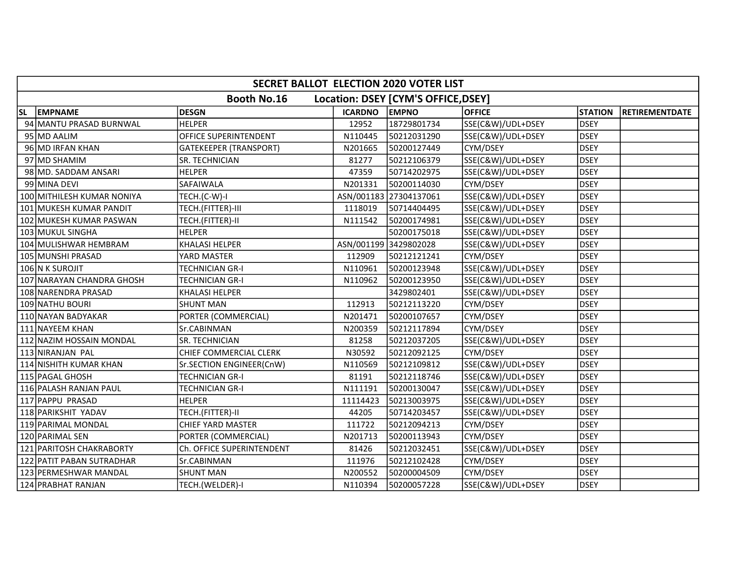|           | <b>SECRET BALLOT ELECTION 2020 VOTER LIST</b>             |                               |                       |                        |                   |                |                       |  |  |
|-----------|-----------------------------------------------------------|-------------------------------|-----------------------|------------------------|-------------------|----------------|-----------------------|--|--|
|           | <b>Booth No.16</b><br>Location: DSEY [CYM'S OFFICE, DSEY] |                               |                       |                        |                   |                |                       |  |  |
| <b>SL</b> | <b>EMPNAME</b>                                            | <b>DESGN</b>                  | <b>ICARDNO</b>        | <b>EMPNO</b>           | <b>OFFICE</b>     | <b>STATION</b> | <b>RETIREMENTDATE</b> |  |  |
|           | 94 MANTU PRASAD BURNWAL                                   | <b>HELPER</b>                 | 12952                 | 18729801734            | SSE(C&W)/UDL+DSEY | <b>DSEY</b>    |                       |  |  |
|           | 95 MD AALIM                                               | <b>OFFICE SUPERINTENDENT</b>  | N110445               | 50212031290            | SSE(C&W)/UDL+DSEY | <b>DSEY</b>    |                       |  |  |
|           | 96 MD IRFAN KHAN                                          | <b>GATEKEEPER (TRANSPORT)</b> | N201665               | 50200127449            | CYM/DSEY          | <b>DSEY</b>    |                       |  |  |
|           | 97 MD SHAMIM                                              | SR. TECHNICIAN                | 81277                 | 50212106379            | SSE(C&W)/UDL+DSEY | <b>DSEY</b>    |                       |  |  |
|           | 98 MD. SADDAM ANSARI                                      | <b>HELPER</b>                 | 47359                 | 50714202975            | SSE(C&W)/UDL+DSEY | <b>DSEY</b>    |                       |  |  |
|           | 99 MINA DEVI                                              | <b>SAFAIWALA</b>              | N201331               | 50200114030            | CYM/DSEY          | <b>DSEY</b>    |                       |  |  |
|           | 100 MITHILESH KUMAR NONIYA                                | TECH.(C-W)-I                  |                       | ASN/001183 27304137061 | SSE(C&W)/UDL+DSEY | <b>DSEY</b>    |                       |  |  |
|           | 101 MUKESH KUMAR PANDIT                                   | TECH.(FITTER)-III             | 1118019               | 50714404495            | SSE(C&W)/UDL+DSEY | <b>DSEY</b>    |                       |  |  |
|           | 102 MUKESH KUMAR PASWAN                                   | TECH.(FITTER)-II              | N111542               | 50200174981            | SSE(C&W)/UDL+DSEY | <b>DSEY</b>    |                       |  |  |
|           | 103 MUKUL SINGHA                                          | <b>HELPER</b>                 |                       | 50200175018            | SSE(C&W)/UDL+DSEY | <b>DSEY</b>    |                       |  |  |
|           | 104 MULISHWAR HEMBRAM                                     | <b>KHALASI HELPER</b>         | ASN/001199 3429802028 |                        | SSE(C&W)/UDL+DSEY | <b>DSEY</b>    |                       |  |  |
|           | 105 MUNSHI PRASAD                                         | YARD MASTER                   | 112909                | 50212121241            | CYM/DSEY          | <b>DSEY</b>    |                       |  |  |
|           | 106 N K SUROJIT                                           | <b>TECHNICIAN GR-I</b>        | N110961               | 50200123948            | SSE(C&W)/UDL+DSEY | <b>DSEY</b>    |                       |  |  |
|           | 107 NARAYAN CHANDRA GHOSH                                 | <b>TECHNICIAN GR-I</b>        | N110962               | 50200123950            | SSE(C&W)/UDL+DSEY | <b>DSEY</b>    |                       |  |  |
|           | 108 NARENDRA PRASAD                                       | <b>KHALASI HELPER</b>         |                       | 3429802401             | SSE(C&W)/UDL+DSEY | <b>DSEY</b>    |                       |  |  |
|           | 109 NATHU BOURI                                           | <b>SHUNT MAN</b>              | 112913                | 50212113220            | CYM/DSEY          | <b>DSEY</b>    |                       |  |  |
|           | 110 NAYAN BADYAKAR                                        | PORTER (COMMERCIAL)           | N201471               | 50200107657            | CYM/DSEY          | <b>DSEY</b>    |                       |  |  |
|           | 111 NAYEEM KHAN                                           | Sr.CABINMAN                   | N200359               | 50212117894            | CYM/DSEY          | <b>DSEY</b>    |                       |  |  |
|           | 112 NAZIM HOSSAIN MONDAL                                  | SR. TECHNICIAN                | 81258                 | 50212037205            | SSE(C&W)/UDL+DSEY | <b>DSEY</b>    |                       |  |  |
|           | 113 NIRANJAN PAL                                          | CHIEF COMMERCIAL CLERK        | N30592                | 50212092125            | CYM/DSEY          | <b>DSEY</b>    |                       |  |  |
|           | 114 NISHITH KUMAR KHAN                                    | Sr.SECTION ENGINEER(CnW)      | N110569               | 50212109812            | SSE(C&W)/UDL+DSEY | <b>DSEY</b>    |                       |  |  |
|           | 115 PAGAL GHOSH                                           | <b>TECHNICIAN GR-I</b>        | 81191                 | 50212118746            | SSE(C&W)/UDL+DSEY | <b>DSEY</b>    |                       |  |  |
|           | 116 PALASH RANJAN PAUL                                    | <b>TECHNICIAN GR-I</b>        | N111191               | 50200130047            | SSE(C&W)/UDL+DSEY | <b>DSEY</b>    |                       |  |  |
|           | 117 PAPPU PRASAD                                          | <b>HELPER</b>                 | 11114423              | 50213003975            | SSE(C&W)/UDL+DSEY | <b>DSEY</b>    |                       |  |  |
|           | 118 PARIKSHIT YADAV                                       | TECH.(FITTER)-II              | 44205                 | 50714203457            | SSE(C&W)/UDL+DSEY | <b>DSEY</b>    |                       |  |  |
|           | 119 PARIMAL MONDAL                                        | CHIEF YARD MASTER             | 111722                | 50212094213            | CYM/DSEY          | <b>DSEY</b>    |                       |  |  |
|           | 120 PARIMAL SEN                                           | PORTER (COMMERCIAL)           | N201713               | 50200113943            | CYM/DSEY          | <b>DSEY</b>    |                       |  |  |
|           | 121 PARITOSH CHAKRABORTY                                  | Ch. OFFICE SUPERINTENDENT     | 81426                 | 50212032451            | SSE(C&W)/UDL+DSEY | <b>DSEY</b>    |                       |  |  |
|           | 122 PATIT PABAN SUTRADHAR                                 | Sr.CABINMAN                   | 111976                | 50212102428            | CYM/DSEY          | <b>DSEY</b>    |                       |  |  |
|           | 123 PERMESHWAR MANDAL                                     | SHUNT MAN                     | N200552               | 50200004509            | CYM/DSEY          | <b>DSEY</b>    |                       |  |  |
|           | 124 PRABHAT RANJAN                                        | TECH.(WELDER)-I               | N110394               | 50200057228            | SSE(C&W)/UDL+DSEY | <b>DSEY</b>    |                       |  |  |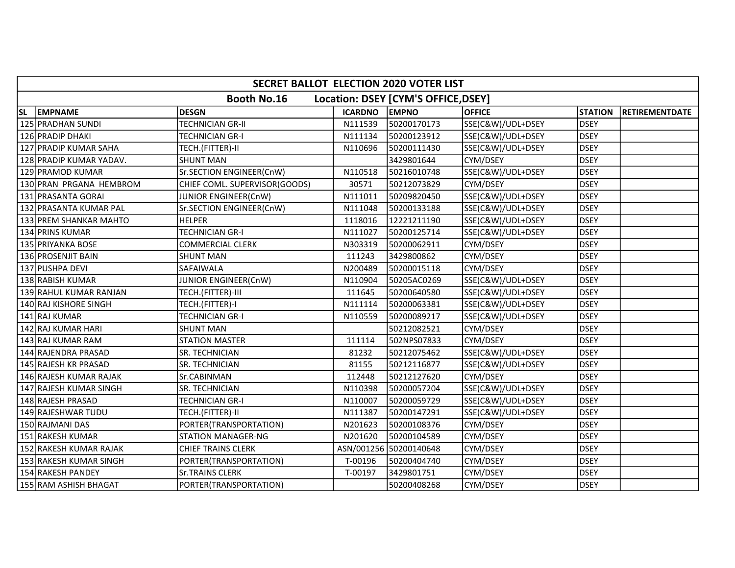|           | <b>SECRET BALLOT ELECTION 2020 VOTER LIST</b> |                               |                |                                     |                   |                |                |  |  |
|-----------|-----------------------------------------------|-------------------------------|----------------|-------------------------------------|-------------------|----------------|----------------|--|--|
|           |                                               | <b>Booth No.16</b>            |                | Location: DSEY [CYM'S OFFICE, DSEY] |                   |                |                |  |  |
| <b>SL</b> | <b>EMPNAME</b>                                | <b>DESGN</b>                  | <b>ICARDNO</b> | <b>EMPNO</b>                        | <b>OFFICE</b>     | <b>STATION</b> | RETIREMENTDATE |  |  |
|           | 125 PRADHAN SUNDI                             | TECHNICIAN GR-II              | N111539        | 50200170173                         | SSE(C&W)/UDL+DSEY | <b>DSEY</b>    |                |  |  |
|           | 126 PRADIP DHAKI                              | TECHNICIAN GR-I               | N111134        | 50200123912                         | SSE(C&W)/UDL+DSEY | <b>DSEY</b>    |                |  |  |
|           | 127 PRADIP KUMAR SAHA                         | TECH.(FITTER)-II              | N110696        | 50200111430                         | SSE(C&W)/UDL+DSEY | <b>DSEY</b>    |                |  |  |
|           | 128 PRADIP KUMAR YADAV.                       | <b>SHUNT MAN</b>              |                | 3429801644                          | CYM/DSEY          | <b>DSEY</b>    |                |  |  |
|           | 129 PRAMOD KUMAR                              | Sr.SECTION ENGINEER(CnW)      | N110518        | 50216010748                         | SSE(C&W)/UDL+DSEY | <b>DSEY</b>    |                |  |  |
|           | 130 PRAN PRGANA HEMBROM                       | CHIEF COML. SUPERVISOR(GOODS) | 30571          | 50212073829                         | CYM/DSEY          | <b>DSEY</b>    |                |  |  |
|           | 131 PRASANTA GORAI                            | JUNIOR ENGINEER(CnW)          | N111011        | 50209820450                         | SSE(C&W)/UDL+DSEY | <b>DSEY</b>    |                |  |  |
|           | 132 PRASANTA KUMAR PAL                        | Sr.SECTION ENGINEER(CnW)      | N111048        | 50200133188                         | SSE(C&W)/UDL+DSEY | <b>DSEY</b>    |                |  |  |
|           | 133 PREM SHANKAR MAHTO                        | <b>HELPER</b>                 | 1118016        | 12221211190                         | SSE(C&W)/UDL+DSEY | <b>DSEY</b>    |                |  |  |
|           | 134 PRINS KUMAR                               | <b>TECHNICIAN GR-I</b>        | N111027        | 50200125714                         | SSE(C&W)/UDL+DSEY | <b>DSEY</b>    |                |  |  |
|           | 135 PRIYANKA BOSE                             | <b>COMMERCIAL CLERK</b>       | N303319        | 50200062911                         | CYM/DSEY          | <b>DSEY</b>    |                |  |  |
|           | 136 PROSENJIT BAIN                            | <b>SHUNT MAN</b>              | 111243         | 3429800862                          | CYM/DSEY          | <b>DSEY</b>    |                |  |  |
|           | 137 PUSHPA DEVI                               | SAFAIWALA                     | N200489        | 50200015118                         | CYM/DSEY          | <b>DSEY</b>    |                |  |  |
|           | 138 RABISH KUMAR                              | JUNIOR ENGINEER(CnW)          | N110904        | 50205AC0269                         | SSE(C&W)/UDL+DSEY | <b>DSEY</b>    |                |  |  |
|           | 139 RAHUL KUMAR RANJAN                        | TECH.(FITTER)-III             | 111645         | 50200640580                         | SSE(C&W)/UDL+DSEY | <b>DSEY</b>    |                |  |  |
|           | 140 RAJ KISHORE SINGH                         | TECH.(FITTER)-I               | N111114        | 50200063381                         | SSE(C&W)/UDL+DSEY | <b>DSEY</b>    |                |  |  |
|           | 141 RAJ KUMAR                                 | <b>TECHNICIAN GR-I</b>        | N110559        | 50200089217                         | SSE(C&W)/UDL+DSEY | <b>DSEY</b>    |                |  |  |
|           | 142 RAJ KUMAR HARI                            | <b>SHUNT MAN</b>              |                | 50212082521                         | CYM/DSEY          | <b>DSEY</b>    |                |  |  |
|           | 143 RAJ KUMAR RAM                             | <b>STATION MASTER</b>         | 111114         | 502NPS07833                         | CYM/DSEY          | <b>DSEY</b>    |                |  |  |
|           | 144 RAJENDRA PRASAD                           | SR. TECHNICIAN                | 81232          | 50212075462                         | SSE(C&W)/UDL+DSEY | <b>DSEY</b>    |                |  |  |
|           | 145 RAJESH KR PRASAD                          | SR. TECHNICIAN                | 81155          | 50212116877                         | SSE(C&W)/UDL+DSEY | <b>DSEY</b>    |                |  |  |
|           | 146 RAJESH KUMAR RAJAK                        | Sr.CABINMAN                   | 112448         | 50212127620                         | CYM/DSEY          | <b>DSEY</b>    |                |  |  |
|           | 147 RAJESH KUMAR SINGH                        | SR. TECHNICIAN                | N110398        | 50200057204                         | SSE(C&W)/UDL+DSEY | <b>DSEY</b>    |                |  |  |
|           | 148 RAJESH PRASAD                             | <b>TECHNICIAN GR-I</b>        | N110007        | 50200059729                         | SSE(C&W)/UDL+DSEY | <b>DSEY</b>    |                |  |  |
|           | 149 RAJESHWAR TUDU                            | TECH.(FITTER)-II              | N111387        | 50200147291                         | SSE(C&W)/UDL+DSEY | <b>DSEY</b>    |                |  |  |
|           | 150 RAJMANI DAS                               | PORTER(TRANSPORTATION)        | N201623        | 50200108376                         | CYM/DSEY          | <b>DSEY</b>    |                |  |  |
|           | 151 RAKESH KUMAR                              | <b>STATION MANAGER-NG</b>     | N201620        | 50200104589                         | CYM/DSEY          | <b>DSEY</b>    |                |  |  |
|           | 152 RAKESH KUMAR RAJAK                        | <b>CHIEF TRAINS CLERK</b>     |                | ASN/001256 50200140648              | CYM/DSEY          | <b>DSEY</b>    |                |  |  |
|           | 153 RAKESH KUMAR SINGH                        | PORTER(TRANSPORTATION)        | T-00196        | 50200404740                         | CYM/DSEY          | <b>DSEY</b>    |                |  |  |
|           | 154 RAKESH PANDEY                             | <b>Sr.TRAINS CLERK</b>        | T-00197        | 3429801751                          | CYM/DSEY          | <b>DSEY</b>    |                |  |  |
|           | 155 RAM ASHISH BHAGAT                         | PORTER(TRANSPORTATION)        |                | 50200408268                         | CYM/DSEY          | <b>DSEY</b>    |                |  |  |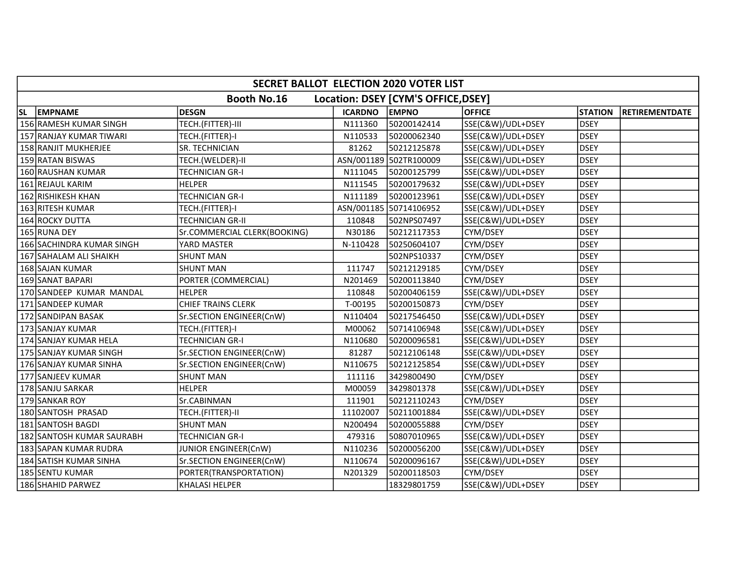|           | SECRET BALLOT ELECTION 2020 VOTER LIST |                              |                |                                     |                   |                |                       |  |  |
|-----------|----------------------------------------|------------------------------|----------------|-------------------------------------|-------------------|----------------|-----------------------|--|--|
|           |                                        | <b>Booth No.16</b>           |                | Location: DSEY [CYM'S OFFICE, DSEY] |                   |                |                       |  |  |
| <b>SL</b> | <b>EMPNAME</b>                         | <b>DESGN</b>                 | <b>ICARDNO</b> | <b>EMPNO</b>                        | <b>OFFICE</b>     | <b>STATION</b> | <b>RETIREMENTDATE</b> |  |  |
|           | 156 RAMESH KUMAR SINGH                 | TECH.(FITTER)-III            | N111360        | 50200142414                         | SSE(C&W)/UDL+DSEY | <b>DSEY</b>    |                       |  |  |
|           | 157 RANJAY KUMAR TIWARI                | TECH.(FITTER)-I              | N110533        | 50200062340                         | SSE(C&W)/UDL+DSEY | <b>DSEY</b>    |                       |  |  |
|           | 158 RANJIT MUKHERJEE                   | SR. TECHNICIAN               | 81262          | 50212125878                         | SSE(C&W)/UDL+DSEY | <b>DSEY</b>    |                       |  |  |
|           | 159 RATAN BISWAS                       | TECH.(WELDER)-II             |                | ASN/001189 502TR100009              | SSE(C&W)/UDL+DSEY | <b>DSEY</b>    |                       |  |  |
|           | 160 RAUSHAN KUMAR                      | TECHNICIAN GR-I              | N111045        | 50200125799                         | SSE(C&W)/UDL+DSEY | <b>DSEY</b>    |                       |  |  |
|           | 161 REJAUL KARIM                       | <b>HELPER</b>                | N111545        | 50200179632                         | SSE(C&W)/UDL+DSEY | <b>DSEY</b>    |                       |  |  |
|           | 162 RISHIKESH KHAN                     | TECHNICIAN GR-I              | N111189        | 50200123961                         | SSE(C&W)/UDL+DSEY | <b>DSEY</b>    |                       |  |  |
|           | 163 RITESH KUMAR                       | TECH.(FITTER)-I              |                | ASN/001185 50714106952              | SSE(C&W)/UDL+DSEY | <b>DSEY</b>    |                       |  |  |
|           | 164 ROCKY DUTTA                        | TECHNICIAN GR-II             | 110848         | 502NPS07497                         | SSE(C&W)/UDL+DSEY | <b>DSEY</b>    |                       |  |  |
|           | 165 RUNA DEY                           | Sr.COMMERCIAL CLERK(BOOKING) | N30186         | 50212117353                         | CYM/DSEY          | <b>DSEY</b>    |                       |  |  |
|           | 166 SACHINDRA KUMAR SINGH              | YARD MASTER                  | N-110428       | 50250604107                         | CYM/DSEY          | <b>DSEY</b>    |                       |  |  |
|           | 167 SAHALAM ALI SHAIKH                 | <b>SHUNT MAN</b>             |                | 502NPS10337                         | CYM/DSEY          | <b>DSEY</b>    |                       |  |  |
|           | 168 SAJAN KUMAR                        | <b>SHUNT MAN</b>             | 111747         | 50212129185                         | CYM/DSEY          | <b>DSEY</b>    |                       |  |  |
|           | 169 SANAT BAPARI                       | PORTER (COMMERCIAL)          | N201469        | 50200113840                         | CYM/DSEY          | <b>DSEY</b>    |                       |  |  |
|           | 170 SANDEEP KUMAR MANDAL               | <b>HELPER</b>                | 110848         | 50200406159                         | SSE(C&W)/UDL+DSEY | <b>DSEY</b>    |                       |  |  |
|           | 171 SANDEEP KUMAR                      | CHIEF TRAINS CLERK           | T-00195        | 50200150873                         | CYM/DSEY          | <b>DSEY</b>    |                       |  |  |
|           | 172 SANDIPAN BASAK                     | Sr.SECTION ENGINEER(CnW)     | N110404        | 50217546450                         | SSE(C&W)/UDL+DSEY | <b>DSEY</b>    |                       |  |  |
|           | 173 SANJAY KUMAR                       | TECH.(FITTER)-I              | M00062         | 50714106948                         | SSE(C&W)/UDL+DSEY | <b>DSEY</b>    |                       |  |  |
|           | 174 SANJAY KUMAR HELA                  | TECHNICIAN GR-I              | N110680        | 50200096581                         | SSE(C&W)/UDL+DSEY | <b>DSEY</b>    |                       |  |  |
|           | 175 SANJAY KUMAR SINGH                 | Sr.SECTION ENGINEER(CnW)     | 81287          | 50212106148                         | SSE(C&W)/UDL+DSEY | <b>DSEY</b>    |                       |  |  |
|           | 176 SANJAY KUMAR SINHA                 | Sr.SECTION ENGINEER(CnW)     | N110675        | 50212125854                         | SSE(C&W)/UDL+DSEY | <b>DSEY</b>    |                       |  |  |
|           | 177 SANJEEV KUMAR                      | <b>SHUNT MAN</b>             | 111116         | 3429800490                          | CYM/DSEY          | <b>DSEY</b>    |                       |  |  |
|           | 178 SANJU SARKAR                       | <b>HELPER</b>                | M00059         | 3429801378                          | SSE(C&W)/UDL+DSEY | <b>DSEY</b>    |                       |  |  |
|           | 179 SANKAR ROY                         | Sr.CABINMAN                  | 111901         | 50212110243                         | CYM/DSEY          | <b>DSEY</b>    |                       |  |  |
|           | 180 SANTOSH PRASAD                     | TECH.(FITTER)-II             | 11102007       | 50211001884                         | SSE(C&W)/UDL+DSEY | <b>DSEY</b>    |                       |  |  |
|           | 181 SANTOSH BAGDI                      | <b>SHUNT MAN</b>             | N200494        | 50200055888                         | CYM/DSEY          | <b>DSEY</b>    |                       |  |  |
|           | 182 SANTOSH KUMAR SAURABH              | TECHNICIAN GR-I              | 479316         | 50807010965                         | SSE(C&W)/UDL+DSEY | <b>DSEY</b>    |                       |  |  |
|           | 183 SAPAN KUMAR RUDRA                  | JUNIOR ENGINEER(CnW)         | N110236        | 50200056200                         | SSE(C&W)/UDL+DSEY | <b>DSEY</b>    |                       |  |  |
|           | 184 SATISH KUMAR SINHA                 | Sr.SECTION ENGINEER(CnW)     | N110674        | 50200096167                         | SSE(C&W)/UDL+DSEY | <b>DSEY</b>    |                       |  |  |
|           | 185 SENTU KUMAR                        | PORTER(TRANSPORTATION)       | N201329        | 50200118503                         | CYM/DSEY          | <b>DSEY</b>    |                       |  |  |
|           | 186 SHAHID PARWEZ                      | <b>KHALASI HELPER</b>        |                | 18329801759                         | SSE(C&W)/UDL+DSEY | <b>DSEY</b>    |                       |  |  |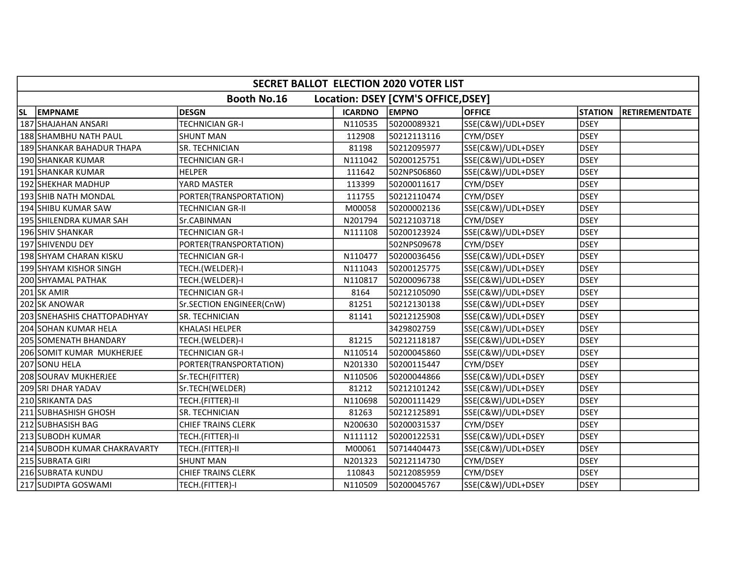| SECRET BALLOT ELECTION 2020 VOTER LIST |                              |                           |                |                                     |                   |                |                       |  |
|----------------------------------------|------------------------------|---------------------------|----------------|-------------------------------------|-------------------|----------------|-----------------------|--|
|                                        |                              | <b>Booth No.16</b>        |                | Location: DSEY [CYM'S OFFICE, DSEY] |                   |                |                       |  |
| <b>SL</b>                              | <b>EMPNAME</b>               | <b>DESGN</b>              | <b>ICARDNO</b> | <b>EMPNO</b>                        | <b>OFFICE</b>     | <b>STATION</b> | <b>RETIREMENTDATE</b> |  |
|                                        | 187 SHAJAHAN ANSARI          | TECHNICIAN GR-I           | N110535        | 50200089321                         | SSE(C&W)/UDL+DSEY | <b>DSEY</b>    |                       |  |
|                                        | 188 SHAMBHU NATH PAUL        | <b>SHUNT MAN</b>          | 112908         | 50212113116                         | CYM/DSEY          | <b>DSEY</b>    |                       |  |
|                                        | 189 SHANKAR BAHADUR THAPA    | SR. TECHNICIAN            | 81198          | 50212095977                         | SSE(C&W)/UDL+DSEY | <b>DSEY</b>    |                       |  |
|                                        | 190 SHANKAR KUMAR            | TECHNICIAN GR-I           | N111042        | 50200125751                         | SSE(C&W)/UDL+DSEY | <b>DSEY</b>    |                       |  |
|                                        | 191 SHANKAR KUMAR            | <b>HELPER</b>             | 111642         | 502NPS06860                         | SSE(C&W)/UDL+DSEY | <b>DSEY</b>    |                       |  |
|                                        | 192 SHEKHAR MADHUP           | YARD MASTER               | 113399         | 50200011617                         | CYM/DSEY          | <b>DSEY</b>    |                       |  |
|                                        | 193 SHIB NATH MONDAL         | PORTER(TRANSPORTATION)    | 111755         | 50212110474                         | CYM/DSEY          | <b>DSEY</b>    |                       |  |
|                                        | 194 SHIBU KUMAR SAW          | TECHNICIAN GR-II          | M00058         | 50200002136                         | SSE(C&W)/UDL+DSEY | <b>DSEY</b>    |                       |  |
|                                        | 195 SHILENDRA KUMAR SAH      | Sr.CABINMAN               | N201794        | 50212103718                         | CYM/DSEY          | <b>DSEY</b>    |                       |  |
|                                        | 196 SHIV SHANKAR             | <b>TECHNICIAN GR-I</b>    | N111108        | 50200123924                         | SSE(C&W)/UDL+DSEY | <b>DSEY</b>    |                       |  |
|                                        | 197 SHIVENDU DEY             | PORTER(TRANSPORTATION)    |                | 502NPS09678                         | CYM/DSEY          | <b>DSEY</b>    |                       |  |
|                                        | 198 SHYAM CHARAN KISKU       | <b>TECHNICIAN GR-I</b>    | N110477        | 50200036456                         | SSE(C&W)/UDL+DSEY | <b>DSEY</b>    |                       |  |
|                                        | 199 SHYAM KISHOR SINGH       | TECH.(WELDER)-I           | N111043        | 50200125775                         | SSE(C&W)/UDL+DSEY | <b>DSEY</b>    |                       |  |
|                                        | 200 SHYAMAL PATHAK           | TECH.(WELDER)-I           | N110817        | 50200096738                         | SSE(C&W)/UDL+DSEY | <b>DSEY</b>    |                       |  |
|                                        | 201 SK AMIR                  | <b>TECHNICIAN GR-I</b>    | 8164           | 50212105090                         | SSE(C&W)/UDL+DSEY | <b>DSEY</b>    |                       |  |
|                                        | 202 SK ANOWAR                | Sr.SECTION ENGINEER(CnW)  | 81251          | 50212130138                         | SSE(C&W)/UDL+DSEY | <b>DSEY</b>    |                       |  |
|                                        | 203 SNEHASHIS CHATTOPADHYAY  | SR. TECHNICIAN            | 81141          | 50212125908                         | SSE(C&W)/UDL+DSEY | <b>DSEY</b>    |                       |  |
|                                        | 204 SOHAN KUMAR HELA         | KHALASI HELPER            |                | 3429802759                          | SSE(C&W)/UDL+DSEY | <b>DSEY</b>    |                       |  |
|                                        | 205 SOMENATH BHANDARY        | TECH.(WELDER)-I           | 81215          | 50212118187                         | SSE(C&W)/UDL+DSEY | <b>DSEY</b>    |                       |  |
|                                        | 206 SOMIT KUMAR MUKHERJEE    | TECHNICIAN GR-I           | N110514        | 50200045860                         | SSE(C&W)/UDL+DSEY | <b>DSEY</b>    |                       |  |
|                                        | 207 SONU HELA                | PORTER(TRANSPORTATION)    | N201330        | 50200115447                         | CYM/DSEY          | <b>DSEY</b>    |                       |  |
|                                        | 208 SOURAV MUKHERJEE         | Sr.TECH(FITTER)           | N110506        | 50200044866                         | SSE(C&W)/UDL+DSEY | <b>DSEY</b>    |                       |  |
|                                        | 209 SRI DHAR YADAV           | Sr.TECH(WELDER)           | 81212          | 50212101242                         | SSE(C&W)/UDL+DSEY | <b>DSEY</b>    |                       |  |
|                                        | 210 SRIKANTA DAS             | TECH.(FITTER)-II          | N110698        | 50200111429                         | SSE(C&W)/UDL+DSEY | <b>DSEY</b>    |                       |  |
|                                        | 211 SUBHASHISH GHOSH         | SR. TECHNICIAN            | 81263          | 50212125891                         | SSE(C&W)/UDL+DSEY | <b>DSEY</b>    |                       |  |
|                                        | 212 SUBHASISH BAG            | <b>CHIEF TRAINS CLERK</b> | N200630        | 50200031537                         | CYM/DSEY          | <b>DSEY</b>    |                       |  |
|                                        | 213 SUBODH KUMAR             | TECH.(FITTER)-II          | N111112        | 50200122531                         | SSE(C&W)/UDL+DSEY | <b>DSEY</b>    |                       |  |
|                                        | 214 SUBODH KUMAR CHAKRAVARTY | TECH.(FITTER)-II          | M00061         | 50714404473                         | SSE(C&W)/UDL+DSEY | <b>DSEY</b>    |                       |  |
|                                        | 215 SUBRATA GIRI             | <b>SHUNT MAN</b>          | N201323        | 50212114730                         | CYM/DSEY          | <b>DSEY</b>    |                       |  |
|                                        | 216 SUBRATA KUNDU            | <b>CHIEF TRAINS CLERK</b> | 110843         | 50212085959                         | CYM/DSEY          | <b>DSEY</b>    |                       |  |
|                                        | 217 SUDIPTA GOSWAMI          | TECH.(FITTER)-I           | N110509        | 50200045767                         | SSE(C&W)/UDL+DSEY | <b>DSEY</b>    |                       |  |